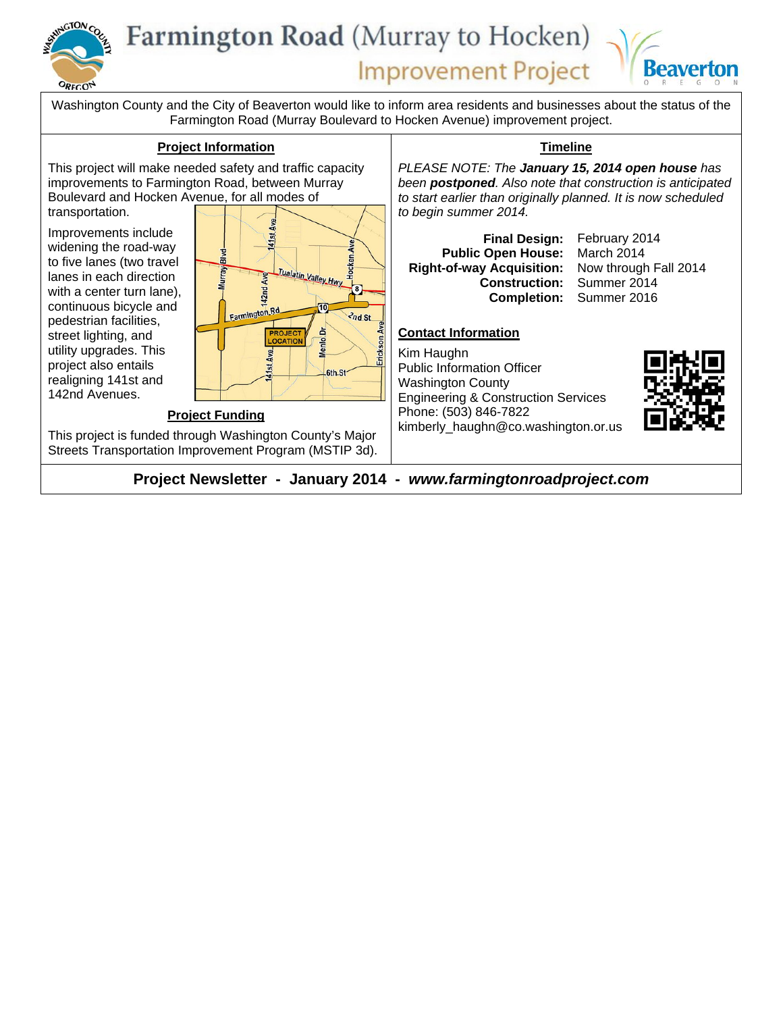

# Farmington Road (Murray to Hocken) **Improvement Project**



Washington County and the City of Beaverton would like to inform area residents and businesses about the status of the Farmington Road (Murray Boulevard to Hocken Avenue) improvement project.

#### **Project Information**

This project will make needed safety and traffic capacity improvements to Farmington Road, between Murray Boulevard and Hocken Avenue, for all modes of

transportation.

Improvements include widening the road-way to five lanes (two travel lanes in each direction with a center turn lane), continuous bicycle and pedestrian facilities, street lighting, and utility upgrades. This project also entails realigning 141st and 142nd Avenues.



## **Project Funding**

This project is funded through Washington County's Major Streets Transportation Improvement Program (MSTIP 3d).

### **Timeline**

*PLEASE NOTE: The January 15, 2014 open house has been postponed. Also note that construction is anticipated to start earlier than originally planned. It is now scheduled to begin summer 2014.* 

**Public Open House:** March 2014 **Right-of-way Acquisition:** Now through Fall 2014 **Construction:** 

**Final Design:** February 2014 **Completion:** Summer 2016

#### **Contact Information**

Kim Haughn Public Information Officer Washington County Engineering & Construction Services Phone: (503) 846-7822 kimberly\_haughn@co.washington.or.us



**Project Newsletter - January 2014 -** *[www.farmingtonroadproject.com](http://farmingtonroadproject.com/)*